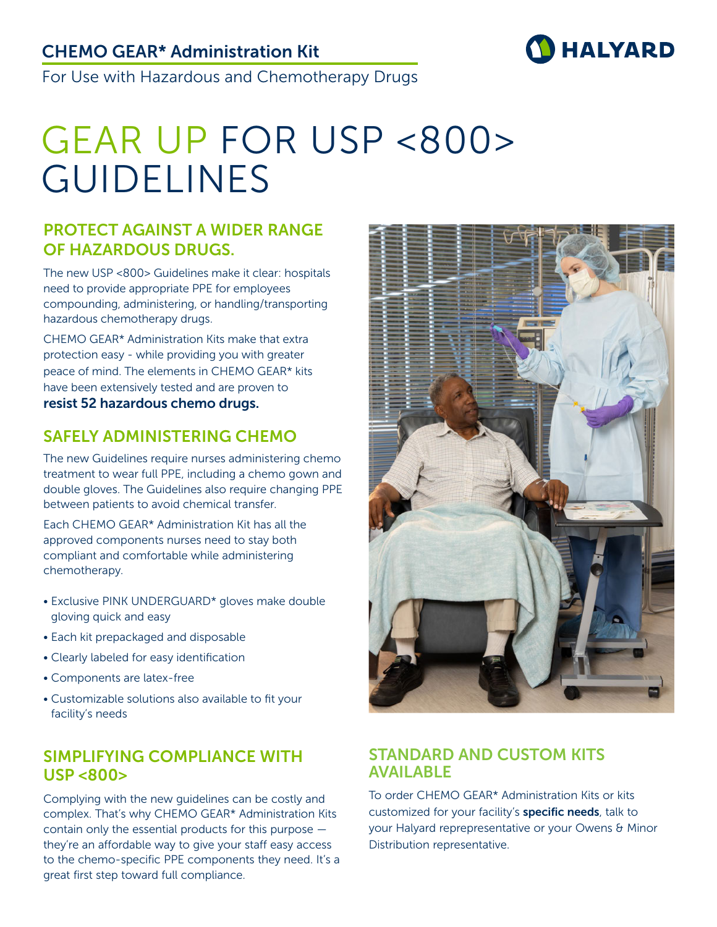## CHEMO GEAR\* Administration Kit



For Use with Hazardous and Chemotherapy Drugs

# GEAR UP FOR USP <800> GUIDELINES

#### PROTECT AGAINST A WIDER RANGE OF HAZARDOUS DRUGS.

The new USP <800> Guidelines make it clear: hospitals need to provide appropriate PPE for employees compounding, administering, or handling/transporting hazardous chemotherapy drugs.

CHEMO GEAR\* Administration Kits make that extra protection easy - while providing you with greater peace of mind. The elements in CHEMO GEAR\* kits have been extensively tested and are proven to resist 52 hazardous chemo drugs.

### SAFELY ADMINISTERING CHEMO

The new Guidelines require nurses administering chemo treatment to wear full PPE, including a chemo gown and double gloves. The Guidelines also require changing PPE between patients to avoid chemical transfer.

Each CHEMO GEAR\* Administration Kit has all the approved components nurses need to stay both compliant and comfortable while administering chemotherapy.

- Exclusive PINK UNDERGUARD\* gloves make double gloving quick and easy
- Each kit prepackaged and disposable
- Clearly labeled for easy identification
- Components are latex-free
- Customizable solutions also available to fit your facility's needs

#### SIMPLIFYING COMPLIANCE WITH USP <800>

Complying with the new guidelines can be costly and complex. That's why CHEMO GEAR\* Administration Kits contain only the essential products for this purpose they're an affordable way to give your staff easy access to the chemo-specific PPE components they need. It's a great first step toward full compliance.



#### STANDARD AND CUSTOM KITS AVAILABLE

To order CHEMO GEAR\* Administration Kits or kits customized for your facility's **specific needs**, talk to your Halyard reprepresentative or your Owens & Minor Distribution representative.